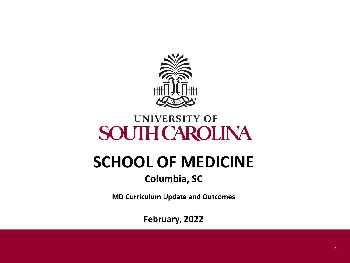

#### **UNIVERSITY OF SOUTH CAROLINA**

# **SCHOOL OF MEDICINE**

#### **Columbia, SC**

**MD Curriculum Update and Outcomes**

**February, 2022**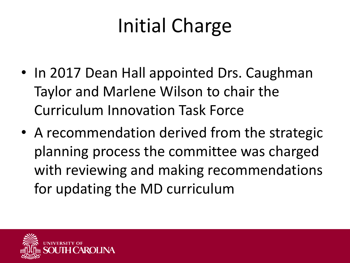# Initial Charge

- In 2017 Dean Hall appointed Drs. Caughman Taylor and Marlene Wilson to chair the Curriculum Innovation Task Force
- A recommendation derived from the strategic planning process the committee was charged with reviewing and making recommendations for updating the MD curriculum

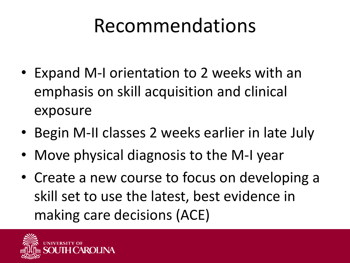#### Recommendations

- Expand M-I orientation to 2 weeks with an emphasis on skill acquisition and clinical exposure
- Begin M-II classes 2 weeks earlier in late July
- Move physical diagnosis to the M-I year
- Create a new course to focus on developing a skill set to use the latest, best evidence in making care decisions (ACE)

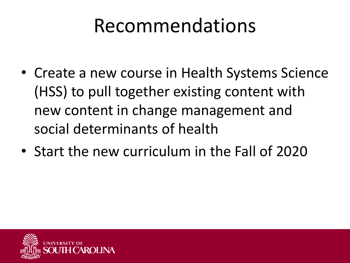#### Recommendations

- Create a new course in Health Systems Science (HSS) to pull together existing content with new content in change management and social determinants of health
- Start the new curriculum in the Fall of 2020

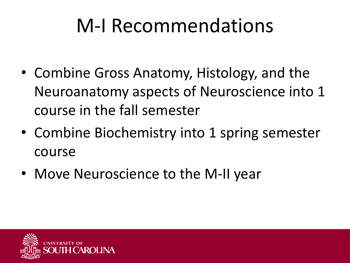#### M-I Recommendations

- Combine Gross Anatomy, Histology, and the Neuroanatomy aspects of Neuroscience into 1 course in the fall semester
- Combine Biochemistry into 1 spring semester course
- Move Neuroscience to the M-II year

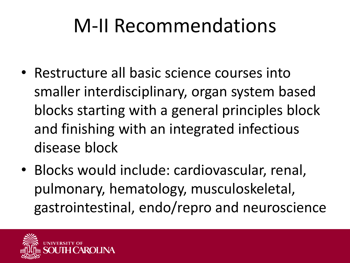## M-II Recommendations

- Restructure all basic science courses into smaller interdisciplinary, organ system based blocks starting with a general principles block and finishing with an integrated infectious disease block
- Blocks would include: cardiovascular, renal, pulmonary, hematology, musculoskeletal, gastrointestinal, endo/repro and neuroscience

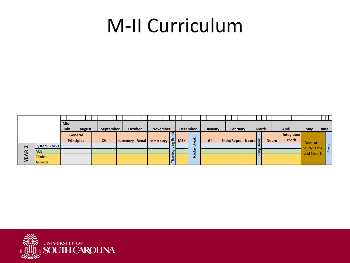#### M-II Curriculum

|        |                 |  | Mid-              |                       |  |  |           |           |  |                                |                |  |  |  |       |                 |               |                                         |                 |     |  |         |    |          |                                       |  |  |  |              |  |  |              |                   |  |                                   |     |  |              |  |  |  |  |
|--------|-----------------|--|-------------------|-----------------------|--|--|-----------|-----------|--|--------------------------------|----------------|--|--|--|-------|-----------------|---------------|-----------------------------------------|-----------------|-----|--|---------|----|----------|---------------------------------------|--|--|--|--------------|--|--|--------------|-------------------|--|-----------------------------------|-----|--|--------------|--|--|--|--|
|        |                 |  |                   | July<br><b>August</b> |  |  |           | September |  |                                | <b>October</b> |  |  |  |       | <b>November</b> |               |                                         | <b>December</b> |     |  | January |    | February |                                       |  |  |  | <b>March</b> |  |  | April        |                   |  |                                   | May |  | June         |  |  |  |  |
|        |                 |  | General           |                       |  |  |           |           |  |                                |                |  |  |  |       |                 | reak          |                                         |                 |     |  |         |    |          |                                       |  |  |  | <b>Neuro</b> |  |  |              | <b>Integrated</b> |  |                                   |     |  |              |  |  |  |  |
|        |                 |  | <b>Principles</b> |                       |  |  | <b>CV</b> |           |  | Pulmonary   Renal   Hematology |                |  |  |  |       |                 |               | $\overline{a}$<br><b>b</b> <sup>1</sup> | <b>MSK</b>      | eak |  |         | GI |          | Endo/Repro Neuro $\frac{1}{\sqrt{2}}$ |  |  |  |              |  |  | <b>Block</b> |                   |  | Dedicated                         |     |  |              |  |  |  |  |
| $\sim$ | System Blocks   |  |                   |                       |  |  |           |           |  |                                |                |  |  |  |       |                 |               |                                         |                 | ๛   |  |         |    |          |                                       |  |  |  |              |  |  |              |                   |  | <b>Study (CBSE</b><br>and Step 1) |     |  | <b>Break</b> |  |  |  |  |
| œ<br>₷ | <b>ACE</b>      |  |                   |                       |  |  |           |           |  |                                |                |  |  |  |       |                 | $\frac{8}{5}$ | liday                                   |                 |     |  |         |    |          |                                       |  |  |  |              |  |  |              |                   |  |                                   |     |  |              |  |  |  |  |
|        | <b>Clinical</b> |  |                   |                       |  |  |           |           |  |                                |                |  |  |  | Thanl |                 | 으<br>ᅩ        |                                         |                 |     |  |         |    |          | qs                                    |  |  |  |              |  |  |              |                   |  |                                   |     |  |              |  |  |  |  |
|        | <b>Aspects</b>  |  |                   |                       |  |  |           |           |  |                                |                |  |  |  |       |                 |               |                                         |                 |     |  |         |    |          |                                       |  |  |  |              |  |  |              |                   |  |                                   |     |  |              |  |  |  |  |

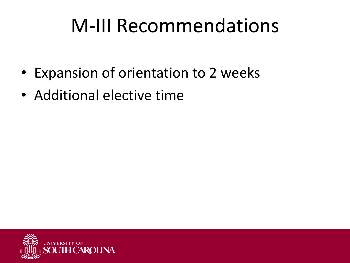#### M-III Recommendations

- Expansion of orientation to 2 weeks
- Additional elective time

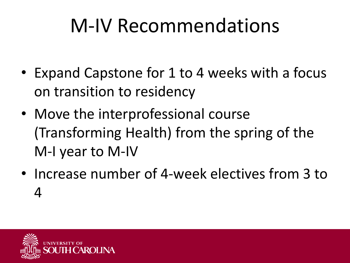#### M-IV Recommendations

- Expand Capstone for 1 to 4 weeks with a focus on transition to residency
- Move the interprofessional course (Transforming Health) from the spring of the M-I year to M-IV
- Increase number of 4-week electives from 3 to 4

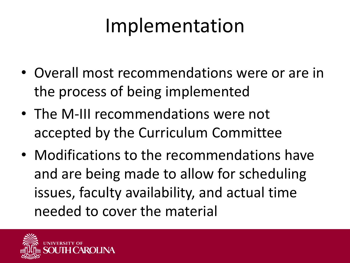#### Implementation

- Overall most recommendations were or are in the process of being implemented
- The M-III recommendations were not accepted by the Curriculum Committee
- Modifications to the recommendations have and are being made to allow for scheduling issues, faculty availability, and actual time needed to cover the material

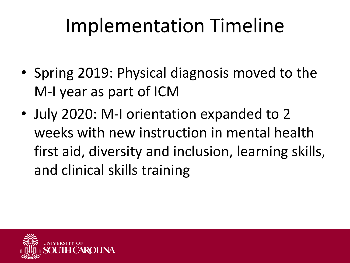## Implementation Timeline

- Spring 2019: Physical diagnosis moved to the M-I year as part of ICM
- July 2020: M-I orientation expanded to 2 weeks with new instruction in mental health first aid, diversity and inclusion, learning skills, and clinical skills training

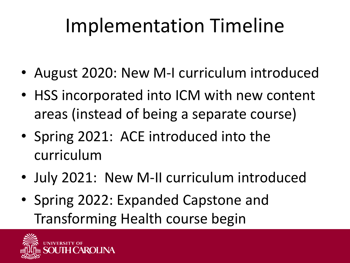# Implementation Timeline

- August 2020: New M-I curriculum introduced
- HSS incorporated into ICM with new content areas (instead of being a separate course)
- Spring 2021: ACE introduced into the curriculum
- July 2021: New M-II curriculum introduced
- Spring 2022: Expanded Capstone and Transforming Health course begin

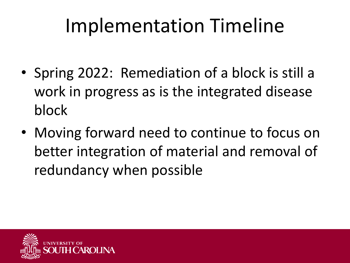## Implementation Timeline

- Spring 2022: Remediation of a block is still a work in progress as is the integrated disease block
- Moving forward need to continue to focus on better integration of material and removal of redundancy when possible

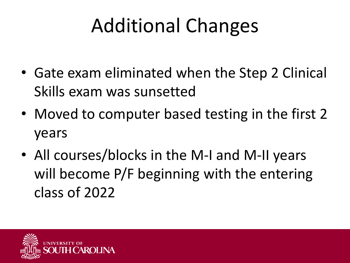# Additional Changes

- Gate exam eliminated when the Step 2 Clinical Skills exam was sunsetted
- Moved to computer based testing in the first 2 years
- All courses/blocks in the M-I and M-II years will become P/F beginning with the entering class of 2022

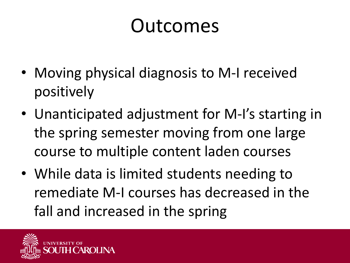- Moving physical diagnosis to M-I received positively
- Unanticipated adjustment for M-I's starting in the spring semester moving from one large course to multiple content laden courses
- While data is limited students needing to remediate M-I courses has decreased in the fall and increased in the spring

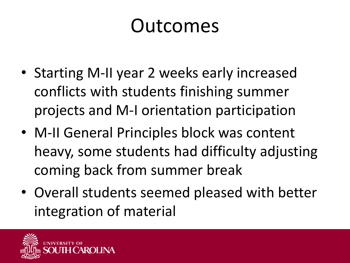- Starting M-II year 2 weeks early increased conflicts with students finishing summer projects and M-I orientation participation
- M-II General Principles block was content heavy, some students had difficulty adjusting coming back from summer break
- Overall students seemed pleased with better integration of material

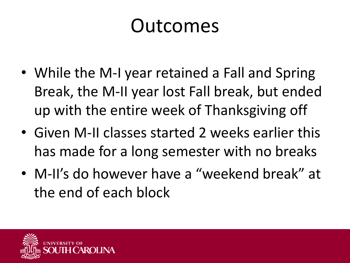- While the M-I year retained a Fall and Spring Break, the M-II year lost Fall break, but ended up with the entire week of Thanksgiving off
- Given M-II classes started 2 weeks earlier this has made for a long semester with no breaks
- M-II's do however have a "weekend break" at the end of each block